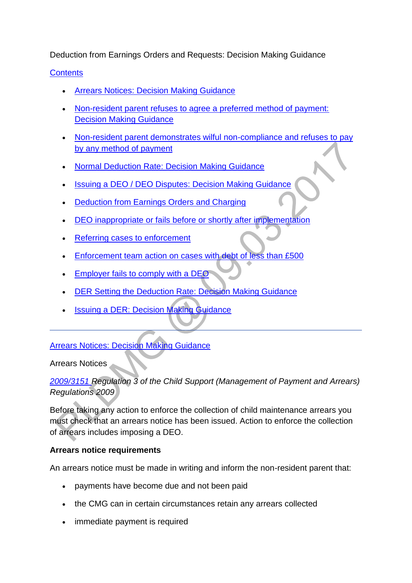Deduction from Earnings Orders and Requests: Decision Making Guidance

## **[Contents](http://np-cmg-sharepoint.link2.gpn.gov.uk/sites/policy-law-and-decision-making-guidance/Pages/Arrears%20MOC/DEOs-and-DERs-DMG.aspx?ControlMode=Edit&DisplayMode=Design)**

- [Arrears Notices: Decision Making Guidance](http://np-cmg-sharepoint.link2.gpn.gov.uk/sites/policy-law-and-decision-making-guidance/Pages/Arrears%20MOC/DEOs-and-DERs-DMG.aspx#NRPrefuses)
- [Non-resident parent refuses to agree a preferred method of payment:](http://np-cmg-sharepoint.link2.gpn.gov.uk/sites/policy-law-and-decision-making-guidance/Pages/Arrears%20MOC/DEOs-and-DERs-DMG.aspx#NRPrefuses)  [Decision Making Guidance](http://np-cmg-sharepoint.link2.gpn.gov.uk/sites/policy-law-and-decision-making-guidance/Pages/Arrears%20MOC/DEOs-and-DERs-DMG.aspx#NRPrefuses)
- [Non-resident parent demonstrates wilful non-compliance and refuses to pay](http://np-cmg-sharepoint.link2.gpn.gov.uk/sites/policy-law-and-decision-making-guidance/Pages/Arrears%20MOC/DEOs-and-DERs-DMG.aspx#Nonresparentdeduction)  [by any method of payment](http://np-cmg-sharepoint.link2.gpn.gov.uk/sites/policy-law-and-decision-making-guidance/Pages/Arrears%20MOC/DEOs-and-DERs-DMG.aspx#Nonresparentdeduction)
- [Normal Deduction Rate: Decision Making Guidance](http://np-cmg-sharepoint.link2.gpn.gov.uk/sites/policy-law-and-decision-making-guidance/Pages/Arrears%20MOC/DEOs-and-DERs-DMG.aspx#NDRDMG)
- [Issuing a DEO / DEO Disputes: Decision Making Guidance](http://np-cmg-sharepoint.link2.gpn.gov.uk/sites/policy-law-and-decision-making-guidance/Pages/Arrears%20MOC/DEOs-and-DERs-DMG.aspx#DisputesDMG)
- [Deduction from Earnings Orders and Charging](http://np-cmg-sharepoint.link2.gpn.gov.uk/sites/policy-law-and-decision-making-guidance/Pages/Arrears%20MOC/DEOs-and-DERs-DMG.aspx#charging)
- [DEO inappropriate or fails before or shortly after implementation](http://np-cmg-sharepoint.link2.gpn.gov.uk/sites/policy-law-and-decision-making-guidance/Pages/Arrears%20MOC/DEOs-and-DERs-DMG.aspx#DEO)
- [Referring cases to enforcement](http://np-cmg-sharepoint.link2.gpn.gov.uk/sites/policy-law-and-decision-making-guidance/Pages/Arrears%20MOC/DEOs-and-DERs-DMG.aspx#refer)
- [Enforcement team action on cases with debt of less than £500](http://np-cmg-sharepoint.link2.gpn.gov.uk/sites/policy-law-and-decision-making-guidance/Pages/Arrears%20MOC/DEOs-and-DERs-DMG.aspx#action)
- [Employer fails to comply with a DEO](http://np-cmg-sharepoint.link2.gpn.gov.uk/sites/policy-law-and-decision-making-guidance/Pages/Arrears%20MOC/DEOs-and-DERs-DMG.aspx#EmployerNotComply)
- [DER Setting the Deduction Rate: Decision Making Guidance](http://np-cmg-sharepoint.link2.gpn.gov.uk/sites/policy-law-and-decision-making-guidance/Pages/Arrears%20MOC/DEOs-and-DERs-DMG.aspx#DERSettingRate)
- [Issuing a DER: Decision Making Guidance](http://np-cmg-sharepoint.link2.gpn.gov.uk/sites/policy-law-and-decision-making-guidance/Pages/Arrears%20MOC/DEOs-and-DERs-DMG.aspx#IssuingDER)

## [Arrears Notices: Decision Making Guidance](http://np-cmg-sharepoint.link2.gpn.gov.uk/sites/policy-law-and-decision-making-guidance/Pages/Arrears%20MOC/DEOs-and-DERs-DMG.aspx)

Arrears Notices

### *[2009/3151 R](http://www.legislation.gov.uk/uksi/2009/3151/contents)egulation 3 of the Child Support (Management of Payment and Arrears) Regulations 2009*

Before taking any action to enforce the collection of child maintenance arrears you must check that an arrears notice has been issued. Action to enforce the collection of arrears includes imposing a DEO.

#### **Arrears notice requirements**

An arrears notice must be made in writing and inform the non-resident parent that:

- payments have become due and not been paid
- the CMG can in certain circumstances retain any arrears collected
- immediate payment is required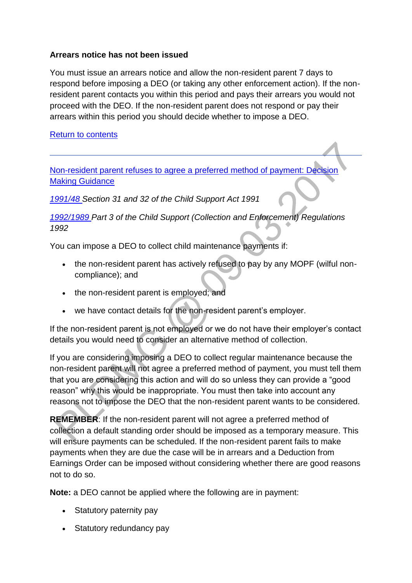### **Arrears notice has not been issued**

You must issue an arrears notice and allow the non-resident parent 7 days to respond before imposing a DEO (or taking any other enforcement action). If the nonresident parent contacts you within this period and pays their arrears you would not proceed with the DEO. If the non-resident parent does not respond or pay their arrears within this period you should decide whether to impose a DEO.

#### [Return to contents](http://np-cmg-sharepoint.link2.gpn.gov.uk/sites/policy-law-and-decision-making-guidance/Pages/Arrears%20MOC/DEOs-and-DERs-DMG.aspx#Contents)

[Non-resident parent refuses to agree a preferred method of payment: Decision](http://np-cmg-sharepoint.link2.gpn.gov.uk/sites/policy-law-and-decision-making-guidance/Pages/Arrears%20MOC/DEOs-and-DERs-DMG.aspx)  [Making Guidance](http://np-cmg-sharepoint.link2.gpn.gov.uk/sites/policy-law-and-decision-making-guidance/Pages/Arrears%20MOC/DEOs-and-DERs-DMG.aspx)

*[1991/48 S](http://www.legislation.gov.uk/ukpga/1991/48)ection 31 and 32 of the Child Support Act 1991*

*[1992/1989 P](http://www.legislation.gov.uk/uksi/1992/1989)art 3 of the Child Support (Collection and Enforcement) Regulations 1992*

You can impose a DEO to collect child maintenance payments if:

- the non-resident parent has actively refused to pay by any MOPF (wilful noncompliance); and
- the non-resident parent is employed; and
- we have contact details for the non-resident parent's employer.

If the non-resident parent is not employed or we do not have their employer's contact details you would need to consider an alternative method of collection.

If you are considering imposing a DEO to collect regular maintenance because the non-resident parent will not agree a preferred method of payment, you must tell them that you are considering this action and will do so unless they can provide a "good reason" why this would be inappropriate. You must then take into account any reasons not to impose the DEO that the non-resident parent wants to be considered.

**REMEMBER**: If the non-resident parent will not agree a preferred method of collection a default standing order should be imposed as a temporary measure. This will ensure payments can be scheduled. If the non-resident parent fails to make payments when they are due the case will be in arrears and a Deduction from Earnings Order can be imposed without considering whether there are good reasons not to do so.

**Note:** a DEO cannot be applied where the following are in payment:

- Statutory paternity pay
- Statutory redundancy pay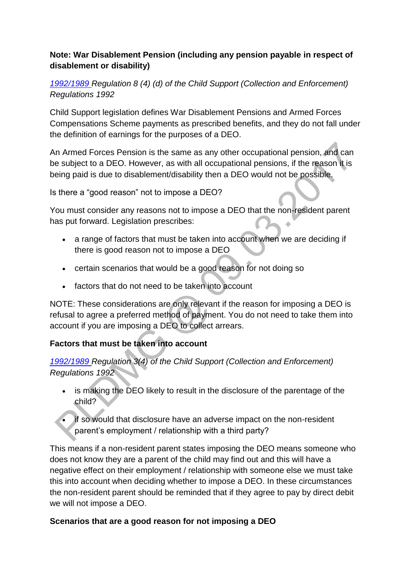### **Note: War Disablement Pension (including any pension payable in respect of disablement or disability)**

*[1992/1989 R](http://www.legislation.gov.uk/uksi/1992/1989)egulation 8 (4) (d) of the Child Support (Collection and Enforcement) Regulations 1992* 

Child Support legislation defines War Disablement Pensions and Armed Forces Compensations Scheme payments as prescribed benefits, and they do not fall under the definition of earnings for the purposes of a DEO.

An Armed Forces Pension is the same as any other occupational pension, and can be subject to a DEO. However, as with all occupational pensions, if the reason it is being paid is due to disablement/disability then a DEO would not be possible.

Is there a "good reason" not to impose a DEO?

You must consider any reasons not to impose a DEO that the non-resident parent has put forward. Legislation prescribes: Ä

- a range of factors that must be taken into account when we are deciding if there is good reason not to impose a DEO
- certain scenarios that would be a good reason for not doing so
- factors that do not need to be taken into account

NOTE: These considerations are only relevant if the reason for imposing a DEO is refusal to agree a preferred method of payment. You do not need to take them into account if you are imposing a DEO to collect arrears.

# **Factors that must be taken into account**

*[1992/1989 R](http://www.legislation.gov.uk/uksi/1992/1989)egulation 3(4) of the Child Support (Collection and Enforcement) Regulations 1992*

- is making the DEO likely to result in the disclosure of the parentage of the child?
- if so would that disclosure have an adverse impact on the non-resident parent's employment / relationship with a third party?

This means if a non-resident parent states imposing the DEO means someone who does not know they are a parent of the child may find out and this will have a negative effect on their employment / relationship with someone else we must take this into account when deciding whether to impose a DEO. In these circumstances the non-resident parent should be reminded that if they agree to pay by direct debit we will not impose a DEO.

## **Scenarios that are a good reason for not imposing a DEO**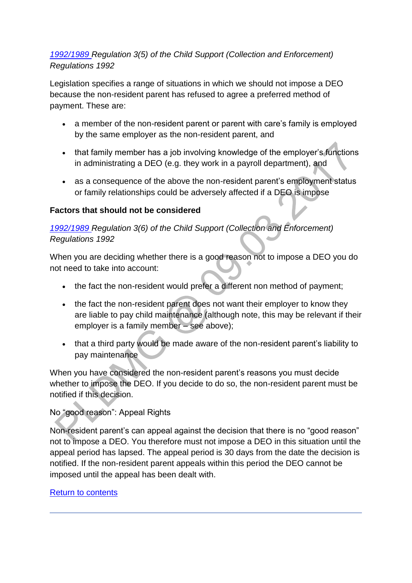## *[1992/1989 R](http://www.legislation.gov.uk/uksi/1992/1989)egulation 3(5) of the Child Support (Collection and Enforcement) Regulations 1992*

Legislation specifies a range of situations in which we should not impose a DEO because the non-resident parent has refused to agree a preferred method of payment. These are:

- a member of the non-resident parent or parent with care's family is employed by the same employer as the non-resident parent, and
- that family member has a job involving knowledge of the employer's functions in administrating a DEO (e.g. they work in a payroll department), and
- as a consequence of the above the non-resident parent's employment status or family relationships could be adversely affected if a DEO is impose

### **Factors that should not be considered**

# *[1992/1989 R](http://www.legislation.gov.uk/uksi/1992/1989)egulation 3(6) of the Child Support (Collection and Enforcement) Regulations 1992*

When you are deciding whether there is a good reason not to impose a DEO you do not need to take into account:

- the fact the non-resident would prefer a different non method of payment;
- the fact the non-resident parent does not want their employer to know they are liable to pay child maintenance (although note, this may be relevant if their employer is a family member – see above);
- that a third party would be made aware of the non-resident parent's liability to pay maintenance

When you have considered the non-resident parent's reasons you must decide whether to impose the DEO. If you decide to do so, the non-resident parent must be notified if this decision.

## No "good reason": Appeal Rights

Non-resident parent's can appeal against the decision that there is no "good reason" not to impose a DEO. You therefore must not impose a DEO in this situation until the appeal period has lapsed. The appeal period is 30 days from the date the decision is notified. If the non-resident parent appeals within this period the DEO cannot be imposed until the appeal has been dealt with.

#### [Return to contents](http://np-cmg-sharepoint.link2.gpn.gov.uk/sites/policy-law-and-decision-making-guidance/Pages/Arrears%20MOC/DEOs-and-DERs-DMG.aspx#Contents)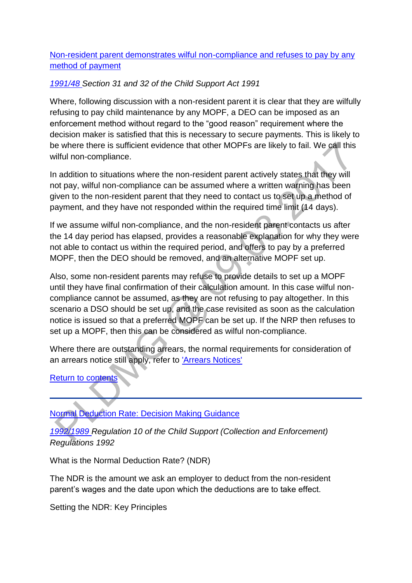[Non-resident parent demonstrates wilful non-compliance and refuses to pay by any](http://np-cmg-sharepoint.link2.gpn.gov.uk/sites/policy-law-and-decision-making-guidance/Pages/Arrears%20MOC/DEOs-and-DERs-DMG.aspx?ControlMode=Edit&DisplayMode=Design#Non-resident%20parent%20demonstrates%20wilful%20non-compliance%20and%20refuses%20to%20pay%20by%20any%20method%20of%20payment)  [method of payment](http://np-cmg-sharepoint.link2.gpn.gov.uk/sites/policy-law-and-decision-making-guidance/Pages/Arrears%20MOC/DEOs-and-DERs-DMG.aspx?ControlMode=Edit&DisplayMode=Design#Non-resident%20parent%20demonstrates%20wilful%20non-compliance%20and%20refuses%20to%20pay%20by%20any%20method%20of%20payment)

#### *[1991/48 S](http://www.legislation.gov.uk/ukpga/1991/48)ection 31 and 32 of the Child Support Act 1991*

Where, following discussion with a non-resident parent it is clear that they are wilfully refusing to pay child maintenance by any MOPF, a DEO can be imposed as an enforcement method without regard to the "good reason" requirement where the decision maker is satisfied that this is necessary to secure payments. This is likely to be where there is sufficient evidence that other MOPFs are likely to fail. We call this wilful non-compliance.

In addition to situations where the non-resident parent actively states that they will not pay, wilful non-compliance can be assumed where a written warning has been given to the non-resident parent that they need to contact us to set up a method of payment, and they have not responded within the required time limit (14 days).

If we assume wilful non-compliance, and the non-resident parent contacts us after the 14 day period has elapsed, provides a reasonable explanation for why they were not able to contact us within the required period, and offers to pay by a preferred MOPF, then the DEO should be removed, and an alternative MOPF set up.

Also, some non-resident parents may refuse to provide details to set up a MOPF until they have final confirmation of their calculation amount. In this case wilful noncompliance cannot be assumed, as they are not refusing to pay altogether. In this scenario a DSO should be set up, and the case revisited as soon as the calculation notice is issued so that a preferred MOPF can be set up. If the NRP then refuses to set up a MOPF, then this can be considered as wilful non-compliance.

Where there are outstanding arrears, the normal requirements for consideration of an arrears notice still apply, refer to ['Arrears Notices'](http://np-cmg-sharepoint.link2.gpn.gov.uk/sites/policy-law-and-decision-making-guidance/Pages/Arrears%20MOC/DEOs-and-DERs-DMG.aspx) 

#### [Return to contents](http://np-cmg-sharepoint.link2.gpn.gov.uk/sites/policy-law-and-decision-making-guidance/Pages/Arrears%20MOC/DEOs-and-DERs-DMG.aspx#Contents)

Normal Deduction Rate: [Decision Making Guidance](http://np-cmg-sharepoint.link2.gpn.gov.uk/sites/policy-law-and-decision-making-guidance/Pages/Arrears%20MOC/DEOs-and-DERs-DMG.aspx)

*[1992/1989 R](http://www.legislation.gov.uk/uksi/1992/1989)egulation 10 of the Child Support (Collection and Enforcement) Regulations 1992*

What is the Normal Deduction Rate? (NDR)

The NDR is the amount we ask an employer to deduct from the non-resident parent's wages and the date upon which the deductions are to take effect.

Setting the NDR: Key Principles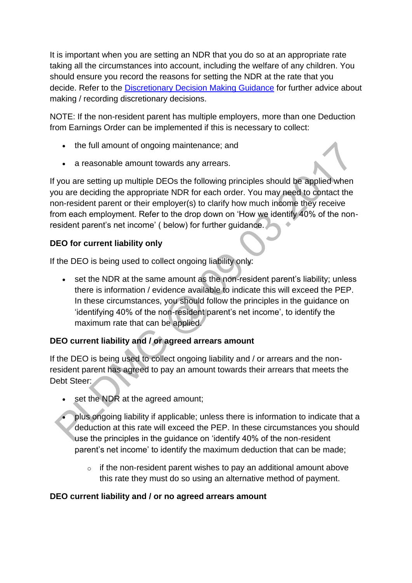It is important when you are setting an NDR that you do so at an appropriate rate taking all the circumstances into account, including the welfare of any children. You should ensure you record the reasons for setting the NDR at the rate that you decide. Refer to the [Discretionary Decision Making Guidance](http://np-cmg-sharepoint.link2.gpn.gov.uk/sites/policy-law-and-decision-making-guidance/Pages/Evidence%20and%20decision%20making/Evidence-and-decision-making.aspx) for further advice about making / recording discretionary decisions.

NOTE: If the non-resident parent has multiple employers, more than one Deduction from Earnings Order can be implemented if this is necessary to collect:

- the full amount of ongoing maintenance; and
- a reasonable amount towards any arrears.

If you are setting up multiple DEOs the following principles should be applied when you are deciding the appropriate NDR for each order. You may need to contact the non-resident parent or their employer(s) to clarify how much income they receive from each employment. Refer to the drop down on 'How we identify 40% of the nonresident parent's net income' ( below) for further guidance.

## **DEO for current liability only**

If the DEO is being used to collect ongoing liability only:

 set the NDR at the same amount as the non-resident parent's liability; unless there is information / evidence available to indicate this will exceed the PEP. In these circumstances, you should follow the principles in the guidance on 'identifying 40% of the non-resident parent's net income', to identify the maximum rate that can be applied.

# **DEO current liability and / or agreed arrears amount**

If the DEO is being used to collect ongoing liability and / or arrears and the nonresident parent has agreed to pay an amount towards their arrears that meets the Debt Steer:

- set the NDR at the agreed amount;
- plus ongoing liability if applicable; unless there is information to indicate that a deduction at this rate will exceed the PEP. In these circumstances you should use the principles in the guidance on 'identify 40% of the non-resident parent's net income' to identify the maximum deduction that can be made;
	- $\circ$  if the non-resident parent wishes to pay an additional amount above this rate they must do so using an alternative method of payment.

## **DEO current liability and / or no agreed arrears amount**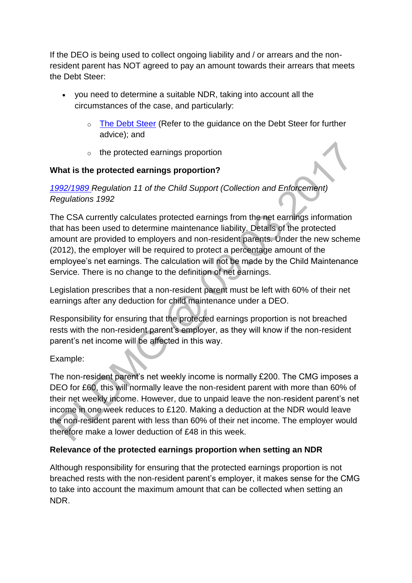If the DEO is being used to collect ongoing liability and / or arrears and the nonresident parent has NOT agreed to pay an amount towards their arrears that meets the Debt Steer:

- you need to determine a suitable NDR, taking into account all the circumstances of the case, and particularly:
	- o [The Debt Steer](http://np-cmg-sharepoint.link2.gpn.gov.uk/sites/policy-law-and-decision-making-guidance/Pages/Arrears%20MOC/DMG-Debt-Steer.aspx) (Refer to the guidance on the Debt Steer for further advice); and
	- o the protected earnings proportion

### **What is the protected earnings proportion?**

## *[1992/1989 R](http://www.legislation.gov.uk/uksi/1992/1989)egulation 11 of the Child Support (Collection and Enforcement) Regulations 1992*

The CSA currently calculates protected earnings from the net earnings information that has been used to determine maintenance liability. Details of the protected amount are provided to employers and non-resident parents. Under the new scheme (2012), the employer will be required to protect a percentage amount of the employee's net earnings. The calculation will not be made by the Child Maintenance Service. There is no change to the definition of net earnings.

Legislation prescribes that a non-resident parent must be left with 60% of their net earnings after any deduction for child maintenance under a DEO.

Responsibility for ensuring that the protected earnings proportion is not breached rests with the non-resident parent's employer, as they will know if the non-resident parent's net income will be affected in this way.

## Example:

The non-resident parent's net weekly income is normally £200. The CMG imposes a DEO for £60, this will normally leave the non-resident parent with more than 60% of their net weekly income. However, due to unpaid leave the non-resident parent's net income in one week reduces to £120. Making a deduction at the NDR would leave the non-resident parent with less than 60% of their net income. The employer would therefore make a lower deduction of £48 in this week.

#### **Relevance of the protected earnings proportion when setting an NDR**

Although responsibility for ensuring that the protected earnings proportion is not breached rests with the non-resident parent's employer, it makes sense for the CMG to take into account the maximum amount that can be collected when setting an NDR.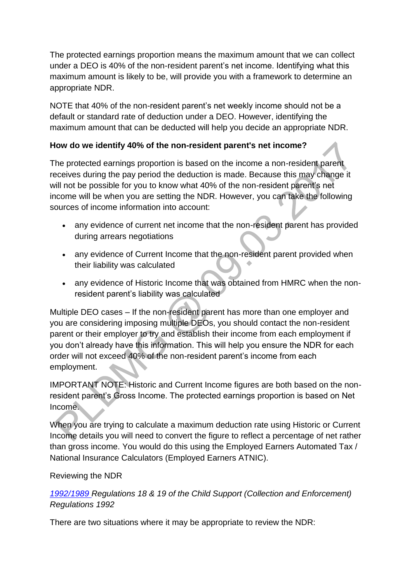The protected earnings proportion means the maximum amount that we can collect under a DEO is 40% of the non-resident parent's net income. Identifying what this maximum amount is likely to be, will provide you with a framework to determine an appropriate NDR.

NOTE that 40% of the non-resident parent's net weekly income should not be a default or standard rate of deduction under a DEO. However, identifying the maximum amount that can be deducted will help you decide an appropriate NDR.

## **How do we identify 40% of the non-resident parent's net income?**

The protected earnings proportion is based on the income a non-resident parent receives during the pay period the deduction is made. Because this may change it will not be possible for you to know what 40% of the non-resident parent's net income will be when you are setting the NDR. However, you can take the following sources of income information into account:

- any evidence of current net income that the non-resident parent has provided during arrears negotiations
- any evidence of Current Income that the non-resident parent provided when their liability was calculated
- any evidence of Historic Income that was obtained from HMRC when the nonresident parent's liability was calculated

Multiple DEO cases – If the non-resident parent has more than one employer and you are considering imposing multiple DEOs, you should contact the non-resident parent or their employer to try and establish their income from each employment if you don't already have this information. This will help you ensure the NDR for each order will not exceed 40% of the non-resident parent's income from each employment.

IMPORTANT NOTE: Historic and Current Income figures are both based on the nonresident parent's Gross Income. The protected earnings proportion is based on Net Income.

When you are trying to calculate a maximum deduction rate using Historic or Current Income details you will need to convert the figure to reflect a percentage of net rather than gross income. You would do this using the Employed Earners Automated Tax / National Insurance Calculators (Employed Earners ATNIC).

## Reviewing the NDR

*[1992/1989 R](http://www.legislation.gov.uk/uksi/1992/1989)egulations 18 & 19 of the Child Support (Collection and Enforcement) Regulations 1992*

There are two situations where it may be appropriate to review the NDR: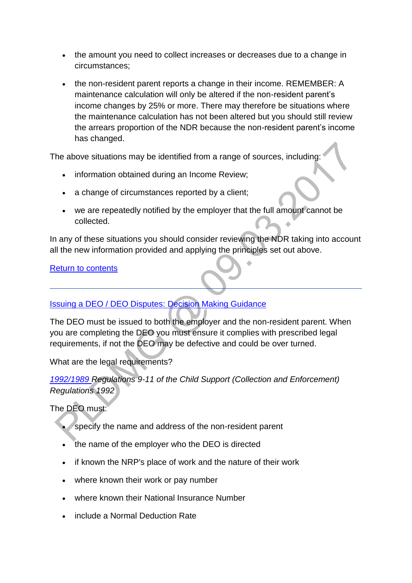- the amount you need to collect increases or decreases due to a change in circumstances;
- the non-resident parent reports a change in their income. REMEMBER: A maintenance calculation will only be altered if the non-resident parent's income changes by 25% or more. There may therefore be situations where the maintenance calculation has not been altered but you should still review the arrears proportion of the NDR because the non-resident parent's income has changed.

The above situations may be identified from a range of sources, including:

- information obtained during an Income Review;
- a change of circumstances reported by a client;
- we are repeatedly notified by the employer that the full amount cannot be collected.  $\bullet$

In any of these situations you should consider reviewing the NDR taking into account all the new information provided and applying the principles set out above.

#### [Return to contents](http://np-cmg-sharepoint.link2.gpn.gov.uk/sites/policy-law-and-decision-making-guidance/Pages/Arrears%20MOC/DEOs-and-DERs-DMG.aspx#Contents)

#### [Issuing a DEO / DEO Disputes: Decision Making Guidance](http://np-cmg-sharepoint.link2.gpn.gov.uk/sites/policy-law-and-decision-making-guidance/Pages/Arrears%20MOC/DEOs-and-DERs-DMG.aspx)

The DEO must be issued to both the employer and the non-resident parent. When you are completing the DEO you must ensure it complies with prescribed legal requirements, if not the DEO may be defective and could be over turned.

What are the legal requirements?

*[1992/1989 R](http://www.legislation.gov.uk/uksi/1992/1989)egulations 9-11 of the Child Support (Collection and Enforcement) Regulations 1992*

The DEO must:

- specify the name and address of the non-resident parent
- the name of the employer who the DEO is directed
- if known the NRP's place of work and the nature of their work
- where known their work or pay number
- where known their National Insurance Number
- include a Normal Deduction Rate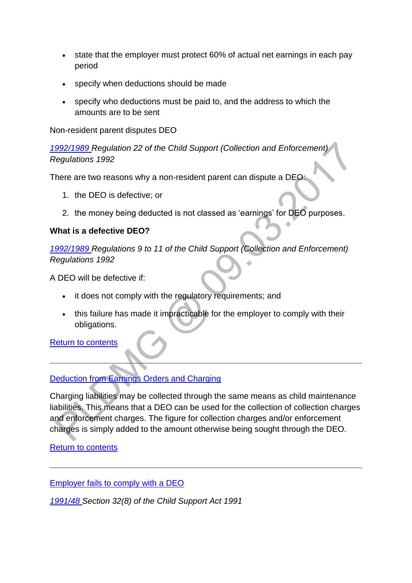- state that the employer must protect 60% of actual net earnings in each pay period
- specify when deductions should be made
- specify who deductions must be paid to, and the address to which the amounts are to be sent

Non-resident parent disputes DEO

*[1992/1989 R](http://www.legislation.gov.uk/uksi/1992/1989)egulation 22 of the Child Support (Collection and Enforcement) Regulations 1992*

There are two reasons why a non-resident parent can dispute a DEO:

- 1. the DEO is defective; or
- 2. the money being deducted is not classed as 'earnings' for DEO purposes.

#### **What is a defective DEO?**

*[1992/1989 R](http://www.legislation.gov.uk/uksi/1992/1989)egulations 9 to 11 of the Child Support (Collection and Enforcement) Regulations 1992*

A DEO will be defective if:

- it does not comply with the regulatory requirements; and
- this failure has made it impracticable for the employer to comply with their obligations.

[Return to contents](http://np-cmg-sharepoint.link2.gpn.gov.uk/sites/policy-law-and-decision-making-guidance/Pages/Arrears%20MOC/DEOs-and-DERs-DMG.aspx#Contents)

## [Deduction from Earnings Orders and Charging](http://np-cmg-sharepoint.link2.gpn.gov.uk/sites/policy-law-and-decision-making-guidance/Pages/Arrears%20MOC/)

Charging liabilities may be collected through the same means as child maintenance liabilities. This means that a DEO can be used for the collection of collection charges and enforcement charges. The figure for collection charges and/or enforcement charges is simply added to the amount otherwise being sought through the DEO.

## [Return to contents](http://np-cmg-sharepoint.link2.gpn.gov.uk/sites/policy-law-and-decision-making-guidance/Pages/Arrears%20MOC/DEOs-and-DERs-DMG.aspx#contents)

[Employer fails to comply with a DEO](http://np-cmg-sharepoint.link2.gpn.gov.uk/sites/policy-law-and-decision-making-guidance/Pages/Arrears%20MOC/DEOs-and-DERs-DMG.aspx)

*[1991/48 S](http://www.legislation.gov.uk/ukpga/1991/48)ection 32(8) of the Child Support Act 1991*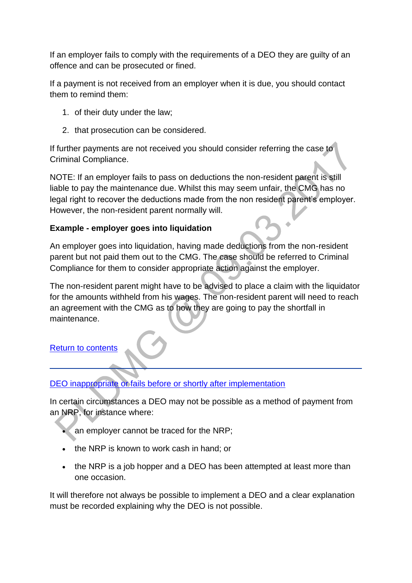If an employer fails to comply with the requirements of a DEO they are guilty of an offence and can be prosecuted or fined.

If a payment is not received from an employer when it is due, you should contact them to remind them:

- 1. of their duty under the law;
- 2. that prosecution can be considered.

If further payments are not received you should consider referring the case to Criminal Compliance.

NOTE: If an employer fails to pass on deductions the non-resident parent is still liable to pay the maintenance due. Whilst this may seem unfair, the CMG has no legal right to recover the deductions made from the non resident parent's employer. However, the non-resident parent normally will.

### **Example - employer goes into liquidation**

An employer goes into liquidation, having made deductions from the non-resident parent but not paid them out to the CMG. The case should be referred to Criminal Compliance for them to consider appropriate action against the employer.

The non-resident parent might have to be advised to place a claim with the liquidator for the amounts withheld from his wages. The non-resident parent will need to reach an agreement with the CMG as to how they are going to pay the shortfall in maintenance.

#### [Return to contents](http://np-cmg-sharepoint.link2.gpn.gov.uk/sites/policy-law-and-decision-making-guidance/Pages/Arrears%20MOC/DEOs-and-DERs-DMG.aspx#Contents)

#### [DEO inappropriate or fails before or shortly after implementation](http://np-cmg-sharepoint.link2.gpn.gov.uk/sites/policy-law-and-decision-making-guidance/Pages/Arrears%20MOC/)

In certain circumstances a DEO may not be possible as a method of payment from an NRP, for instance where:

- an employer cannot be traced for the NRP;
- the NRP is known to work cash in hand; or
- the NRP is a job hopper and a DEO has been attempted at least more than one occasion.

It will therefore not always be possible to implement a DEO and a clear explanation must be recorded explaining why the DEO is not possible.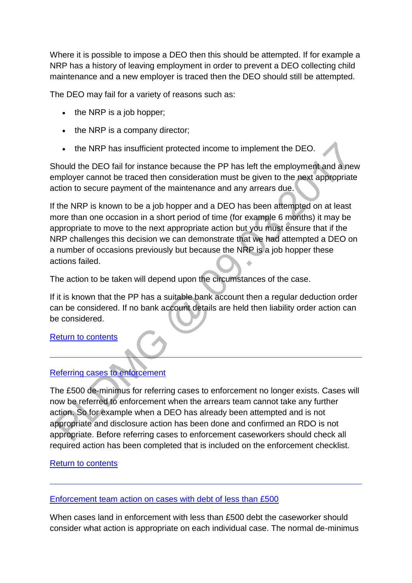Where it is possible to impose a DEO then this should be attempted. If for example a NRP has a history of leaving employment in order to prevent a DEO collecting child maintenance and a new employer is traced then the DEO should still be attempted.

The DEO may fail for a variety of reasons such as:

- $\cdot$  the NRP is a job hopper:
- $\bullet$  the NRP is a company director;
- the NRP has insufficient protected income to implement the DEO.

Should the DEO fail for instance because the PP has left the employment and a new employer cannot be traced then consideration must be given to the next appropriate action to secure payment of the maintenance and any arrears due.

If the NRP is known to be a job hopper and a DEO has been attempted on at least more than one occasion in a short period of time (for example 6 months) it may be appropriate to move to the next appropriate action but you must ensure that if the NRP challenges this decision we can demonstrate that we had attempted a DEO on a number of occasions previously but because the NRP is a job hopper these actions failed.

The action to be taken will depend upon the circumstances of the case.

If it is known that the PP has a suitable bank account then a regular deduction order can be considered. If no bank account details are held then liability order action can be considered.

[Return to contents](http://np-cmg-sharepoint.link2.gpn.gov.uk/sites/policy-law-and-decision-making-guidance/Pages/Arrears%20MOC/DEOs-and-DERs-DMG.aspx#contents)

# [Referring cases to enforcement](http://np-cmg-sharepoint.link2.gpn.gov.uk/sites/policy-law-and-decision-making-guidance/Pages/Arrears%20MOC/)

The £500 de-minimus for referring cases to enforcement no longer exists. Cases will now be referred to enforcement when the arrears team cannot take any further action. So for example when a DEO has already been attempted and is not appropriate and disclosure action has been done and confirmed an RDO is not appropriate. Before referring cases to enforcement caseworkers should check all required action has been completed that is included on the enforcement checklist.

## [Return to contents](http://np-cmg-sharepoint.link2.gpn.gov.uk/sites/policy-law-and-decision-making-guidance/Pages/Arrears%20MOC/DEOs-and-DERs-DMG.aspx#contents)

[Enforcement team action on cases with debt of less than £500](http://np-cmg-sharepoint.link2.gpn.gov.uk/sites/policy-law-and-decision-making-guidance/Pages/Arrears%20MOC/)

When cases land in enforcement with less than £500 debt the caseworker should consider what action is appropriate on each individual case. The normal de-minimus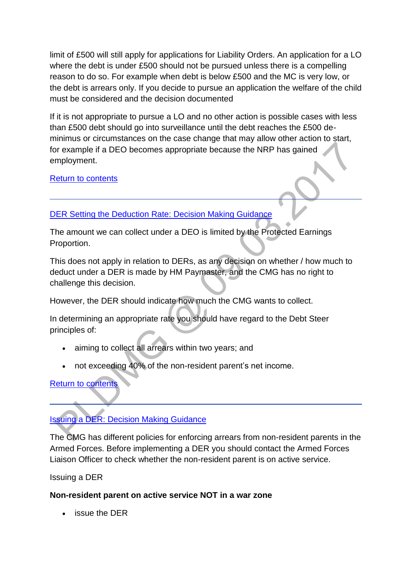limit of £500 will still apply for applications for Liability Orders. An application for a LO where the debt is under £500 should not be pursued unless there is a compelling reason to do so. For example when debt is below £500 and the MC is very low, or the debt is arrears only. If you decide to pursue an application the welfare of the child must be considered and the decision documented

If it is not appropriate to pursue a LO and no other action is possible cases with less than £500 debt should go into surveillance until the debt reaches the £500 deminimus or circumstances on the case change that may allow other action to start, for example if a DEO becomes appropriate because the NRP has gained employment.

### [Return to contents](http://np-cmg-sharepoint.link2.gpn.gov.uk/sites/policy-law-and-decision-making-guidance/Pages/Arrears%20MOC/DEOs-and-DERs-DMG.aspx#contents)

## [DER Setting the Deduction Rate: Decision Making Guidance](http://np-cmg-sharepoint.link2.gpn.gov.uk/sites/policy-law-and-decision-making-guidance/Pages/Arrears%20MOC/DEOs-and-DERs-DMG.aspx)

The amount we can collect under a DEO is limited by the Protected Earnings Proportion.

This does not apply in relation to DERs, as any decision on whether / how much to deduct under a DER is made by HM Paymaster, and the CMG has no right to challenge this decision.

However, the DER should indicate how much the CMG wants to collect.

In determining an appropriate rate you should have regard to the Debt Steer principles of:

- aiming to collect all arrears within two years; and
- not exceeding 40% of the non-resident parent's net income.

#### [Return to contents](http://np-cmg-sharepoint.link2.gpn.gov.uk/sites/policy-law-and-decision-making-guidance/Pages/Arrears%20MOC/DEOs-and-DERs-DMG.aspx#Contents)

[Issuing a DER: Decision Making Guidance](http://np-cmg-sharepoint.link2.gpn.gov.uk/sites/policy-law-and-decision-making-guidance/Pages/Arrears%20MOC/DEOs-and-DERs-DMG.aspx)

The CMG has different policies for enforcing arrears from non-resident parents in the Armed Forces. Before implementing a DER you should contact the Armed Forces Liaison Officer to check whether the non-resident parent is on active service.

Issuing a DER

#### **Non-resident parent on active service NOT in a war zone**

issue the DER